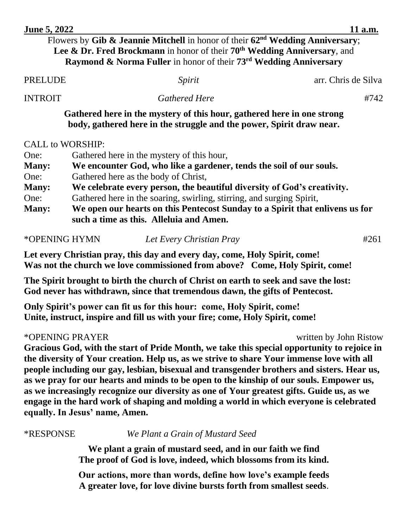|                | Flowers by Gib & Jeannie Mitchell in honor of their $62nd$ Wedding Anniversary;<br>Lee & Dr. Fred Brockmann in honor of their $70th$ Wedding Anniversary, and<br>Raymond & Norma Fuller in honor of their 73 <sup>rd</sup> Wedding Anniversary |                     |
|----------------|------------------------------------------------------------------------------------------------------------------------------------------------------------------------------------------------------------------------------------------------|---------------------|
| <b>PRELUDE</b> | Spirit                                                                                                                                                                                                                                         | arr. Chris de Silva |
| <b>INTROIT</b> | <b>Gathered Here</b>                                                                                                                                                                                                                           | #742                |
|                | Gathered here in the mystery of this hour, gathered here in one strong<br>body, gathered here in the struggle and the power, Spirit draw near.<br><b>CALL to WORSHIP:</b>                                                                      |                     |
| One:           | Gathered here in the mystery of this hour,                                                                                                                                                                                                     |                     |
| <b>Many:</b>   | We encounter God, who like a gardener, tends the soil of our souls.                                                                                                                                                                            |                     |
| One:           | Gathered here as the body of Christ,                                                                                                                                                                                                           |                     |
| <b>Many:</b>   | We celebrate every person, the beautiful diversity of God's creativity.                                                                                                                                                                        |                     |
| One:           | Gathered here in the soaring, swirling, stirring, and surging Spirit,                                                                                                                                                                          |                     |
| <b>Many:</b>   | We open our hearts on this Pentecost Sunday to a Spirit that enlivens us for<br>such a time as this. Alleluia and Amen.                                                                                                                        |                     |

**June 5, 2022** 11 a.m.

\*OPENING HYMN *Let Every Christian Pray* #261

**Let every Christian pray, this day and every day, come, Holy Spirit, come! Was not the church we love commissioned from above? Come, Holy Spirit, come!** 

**The Spirit brought to birth the church of Christ on earth to seek and save the lost: God never has withdrawn, since that tremendous dawn, the gifts of Pentecost.**

**Only Spirit's power can fit us for this hour: come, Holy Spirit, come! Unite, instruct, inspire and fill us with your fire; come, Holy Spirit, come!**

\*OPENING PRAYER written by John Ristow

**Gracious God, with the start of Pride Month, we take this special opportunity to rejoice in the diversity of Your creation. Help us, as we strive to share Your immense love with all people including our gay, lesbian, bisexual and transgender brothers and sisters. Hear us, as we pray for our hearts and minds to be open to the kinship of our souls. Empower us, as we increasingly recognize our diversity as one of Your greatest gifts. Guide us, as we engage in the hard work of shaping and molding a world in which everyone is celebrated equally. In Jesus' name, Amen.**

\*RESPONSE*We Plant a Grain of Mustard Seed*

**We plant a grain of mustard seed, and in our faith we find The proof of God is love, indeed, which blossoms from its kind.**

**Our actions, more than words, define how love's example feeds A greater love, for love divine bursts forth from smallest seeds**.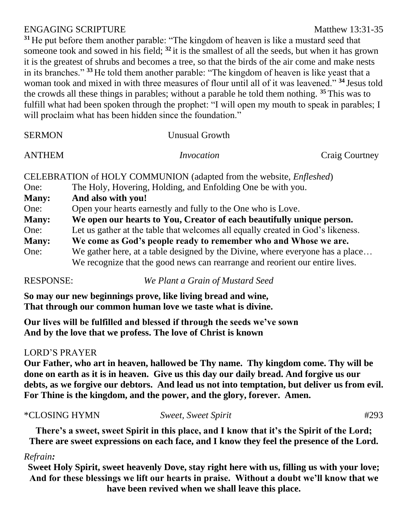## ENGAGING SCRIPTURE Matthew 13:31-35

**<sup>31</sup>** He put before them another parable: "The kingdom of heaven is like a mustard seed that someone took and sowed in his field; **<sup>32</sup>** it is the smallest of all the seeds, but when it has grown it is the greatest of shrubs and becomes a tree, so that the birds of the air come and make nests in its branches." **<sup>33</sup>** He told them another parable: "The kingdom of heaven is like yeast that a woman took and mixed in with three measures of flour until all of it was leavened." **<sup>34</sup>** Jesus told the crowds all these things in parables; without a parable he told them nothing. **<sup>35</sup>** This was to fulfill what had been spoken through the prophet: "I will open my mouth to speak in parables; I will proclaim what has been hidden since the foundation."

| <b>SERMON</b> | <b>Unusual Growth</b>                                                           |  |
|---------------|---------------------------------------------------------------------------------|--|
| <b>ANTHEM</b> | Invocation<br><b>Craig Courtney</b>                                             |  |
|               | CELEBRATION of HOLY COMMUNION (adapted from the website, <i>Enfleshed</i> )     |  |
| One:          | The Holy, Hovering, Holding, and Enfolding One be with you.                     |  |
| <b>Many:</b>  | And also with you!                                                              |  |
| One:          | Open your hearts earnestly and fully to the One who is Love.                    |  |
| <b>Many:</b>  | We open our hearts to You, Creator of each beautifully unique person.           |  |
| One:          | Let us gather at the table that welcomes all equally created in God's likeness. |  |
| <b>Many:</b>  | We come as God's people ready to remember who and Whose we are.                 |  |
| One:          | We gather here, at a table designed by the Divine, where everyone has a place   |  |
|               |                                                                                 |  |

We recognize that the good news can rearrange and reorient our entire lives.

RESPONSE: *We Plant a Grain of Mustard Seed*

**So may our new beginnings prove, like living bread and wine, That through our common human love we taste what is divine.**

**Our lives will be fulfilled and blessed if through the seeds we've sown And by the love that we profess. The love of Christ is known**

# LORD'S PRAYER

**Our Father, who art in heaven, hallowed be Thy name. Thy kingdom come. Thy will be done on earth as it is in heaven. Give us this day our daily bread. And forgive us our debts, as we forgive our debtors. And lead us not into temptation, but deliver us from evil. For Thine is the kingdom, and the power, and the glory, forever. Amen.**

## \*CLOSING HYMN *Sweet, Sweet Spirit* #293

**There's a sweet, sweet Spirit in this place, and I know that it's the Spirit of the Lord; There are sweet expressions on each face, and I know they feel the presence of the Lord.**

## *Refrain:*

**Sweet Holy Spirit, sweet heavenly Dove, stay right here with us, filling us with your love; And for these blessings we lift our hearts in praise. Without a doubt we'll know that we have been revived when we shall leave this place.**